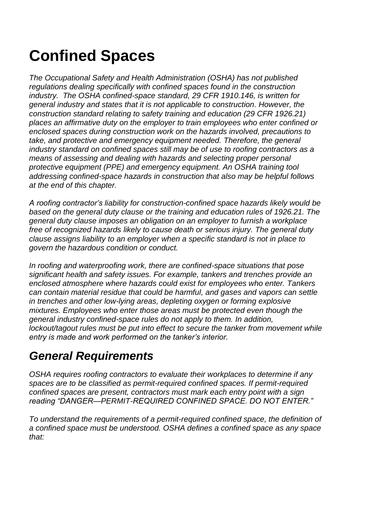# **Confined Spaces**

*The Occupational Safety and Health Administration (OSHA) has not published regulations dealing specifically with confined spaces found in the construction industry. The OSHA confined-space standard, 29 CFR 1910.146, is written for general industry and states that it is not applicable to construction. However, the construction standard relating to safety training and education (29 CFR 1926.21) places an affirmative duty on the employer to train employees who enter confined or enclosed spaces during construction work on the hazards involved, precautions to take, and protective and emergency equipment needed. Therefore, the general industry standard on confined spaces still may be of use to roofing contractors as a means of assessing and dealing with hazards and selecting proper personal protective equipment (PPE) and emergency equipment. An OSHA training tool addressing confined-space hazards in construction that also may be helpful follows at the end of this chapter.*

*A roofing contractor's liability for construction-confined space hazards likely would be based on the general duty clause or the training and education rules of 1926.21. The general duty clause imposes an obligation on an employer to furnish a workplace free of recognized hazards likely to cause death or serious injury. The general duty clause assigns liability to an employer when a specific standard is not in place to govern the hazardous condition or conduct.* 

*In roofing and waterproofing work, there are confined-space situations that pose significant health and safety issues. For example, tankers and trenches provide an enclosed atmosphere where hazards could exist for employees who enter. Tankers can contain material residue that could be harmful, and gases and vapors can settle in trenches and other low-lying areas, depleting oxygen or forming explosive mixtures. Employees who enter those areas must be protected even though the general industry confined-space rules do not apply to them. In addition, lockout/tagout rules must be put into effect to secure the tanker from movement while entry is made and work performed on the tanker's interior.*

# *General Requirements*

*OSHA requires roofing contractors to evaluate their workplaces to determine if any spaces are to be classified as permit-required confined spaces. If permit-required confined spaces are present, contractors must mark each entry point with a sign reading "DANGER—PERMIT-REQUIRED CONFINED SPACE. DO NOT ENTER."* 

*To understand the requirements of a permit-required confined space, the definition of a confined space must be understood. OSHA defines a confined space as any space that:*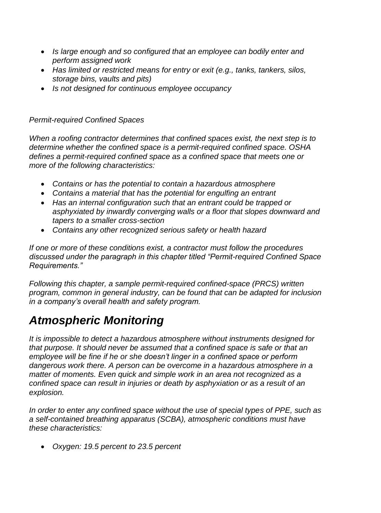- *Is large enough and so configured that an employee can bodily enter and perform assigned work*
- *Has limited or restricted means for entry or exit (e.g., tanks, tankers, silos, storage bins, vaults and pits)*
- *Is not designed for continuous employee occupancy*

### *Permit-required Confined Spaces*

*When a roofing contractor determines that confined spaces exist, the next step is to determine whether the confined space is a permit-required confined space. OSHA defines a permit-required confined space as a confined space that meets one or more of the following characteristics:*

- *Contains or has the potential to contain a hazardous atmosphere*
- *Contains a material that has the potential for engulfing an entrant*
- *Has an internal configuration such that an entrant could be trapped or asphyxiated by inwardly converging walls or a floor that slopes downward and tapers to a smaller cross-section*
- *Contains any other recognized serious safety or health hazard*

*If one or more of these conditions exist, a contractor must follow the procedures discussed under the paragraph in this chapter titled "Permit-required Confined Space Requirements."*

*Following this chapter, a sample permit-required confined-space (PRCS) written program, common in general industry, can be found that can be adapted for inclusion in a company's overall health and safety program.*

# *Atmospheric Monitoring*

*It is impossible to detect a hazardous atmosphere without instruments designed for that purpose. It should never be assumed that a confined space is safe or that an employee will be fine if he or she doesn't linger in a confined space or perform dangerous work there. A person can be overcome in a hazardous atmosphere in a matter of moments. Even quick and simple work in an area not recognized as a confined space can result in injuries or death by asphyxiation or as a result of an explosion.*

*In order to enter any confined space without the use of special types of PPE, such as a self-contained breathing apparatus (SCBA), atmospheric conditions must have these characteristics:*

*Oxygen: 19.5 percent to 23.5 percent*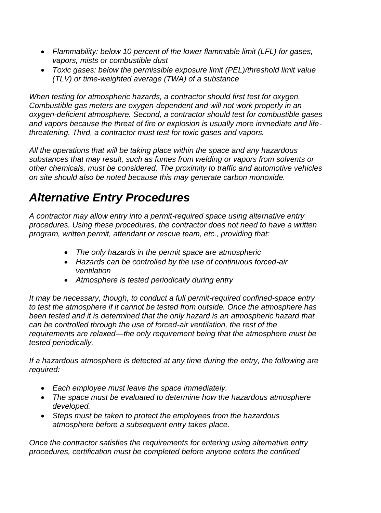- *Flammability: below 10 percent of the lower flammable limit (LFL) for gases, vapors, mists or combustible dust*
- *Toxic gases: below the permissible exposure limit (PEL)/threshold limit value (TLV) or time-weighted average (TWA) of a substance*

*When testing for atmospheric hazards, a contractor should first test for oxygen. Combustible gas meters are oxygen-dependent and will not work properly in an oxygen-deficient atmosphere. Second, a contractor should test for combustible gases and vapors because the threat of fire or explosion is usually more immediate and lifethreatening. Third, a contractor must test for toxic gases and vapors.*

*All the operations that will be taking place within the space and any hazardous substances that may result, such as fumes from welding or vapors from solvents or other chemicals, must be considered. The proximity to traffic and automotive vehicles on site should also be noted because this may generate carbon monoxide.*

# *Alternative Entry Procedures*

*A contractor may allow entry into a permit-required space using alternative entry procedures. Using these procedures, the contractor does not need to have a written program, written permit, attendant or rescue team, etc., providing that:*

- *The only hazards in the permit space are atmospheric*
- *Hazards can be controlled by the use of continuous forced-air ventilation*
- *Atmosphere is tested periodically during entry*

*It may be necessary, though, to conduct a full permit-required confined-space entry to test the atmosphere if it cannot be tested from outside. Once the atmosphere has been tested and it is determined that the only hazard is an atmospheric hazard that can be controlled through the use of forced-air ventilation, the rest of the requirements are relaxed―the only requirement being that the atmosphere must be tested periodically.*

*If a hazardous atmosphere is detected at any time during the entry, the following are required:*

- *Each employee must leave the space immediately.*
- *The space must be evaluated to determine how the hazardous atmosphere developed.*
- *Steps must be taken to protect the employees from the hazardous atmosphere before a subsequent entry takes place.*

*Once the contractor satisfies the requirements for entering using alternative entry procedures, certification must be completed before anyone enters the confined*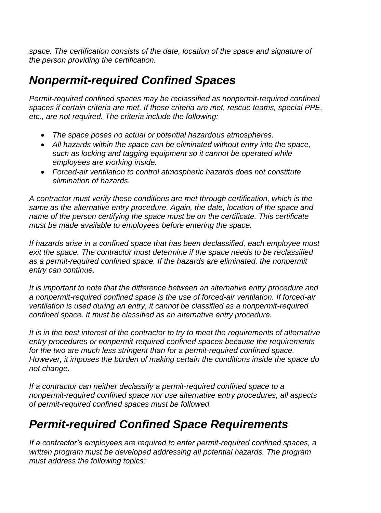*space. The certification consists of the date, location of the space and signature of the person providing the certification.*

# *Nonpermit-required Confined Spaces*

*Permit-required confined spaces may be reclassified as nonpermit-required confined spaces if certain criteria are met. If these criteria are met, rescue teams, special PPE, etc., are not required. The criteria include the following:*

- *The space poses no actual or potential hazardous atmospheres.*
- *All hazards within the space can be eliminated without entry into the space, such as locking and tagging equipment so it cannot be operated while employees are working inside.*
- *Forced-air ventilation to control atmospheric hazards does not constitute elimination of hazards.*

*A contractor must verify these conditions are met through certification, which is the same as the alternative entry procedure. Again, the date, location of the space and name of the person certifying the space must be on the certificate. This certificate must be made available to employees before entering the space.*

*If hazards arise in a confined space that has been declassified, each employee must exit the space. The contractor must determine if the space needs to be reclassified as a permit-required confined space. If the hazards are eliminated, the nonpermit entry can continue.*

*It is important to note that the difference between an alternative entry procedure and a nonpermit-required confined space is the use of forced-air ventilation. If forced-air ventilation is used during an entry, it cannot be classified as a nonpermit-required confined space. It must be classified as an alternative entry procedure.*

*It is in the best interest of the contractor to try to meet the requirements of alternative entry procedures or nonpermit-required confined spaces because the requirements for the two are much less stringent than for a permit-required confined space. However, it imposes the burden of making certain the conditions inside the space do not change.* 

*If a contractor can neither declassify a permit-required confined space to a nonpermit-required confined space nor use alternative entry procedures, all aspects of permit-required confined spaces must be followed.*

# *Permit-required Confined Space Requirements*

*If a contractor's employees are required to enter permit-required confined spaces, a written program must be developed addressing all potential hazards. The program must address the following topics:*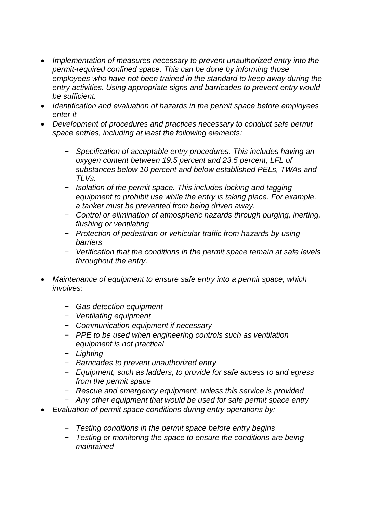- *Implementation of measures necessary to prevent unauthorized entry into the permit-required confined space. This can be done by informing those employees who have not been trained in the standard to keep away during the entry activities. Using appropriate signs and barricades to prevent entry would be sufficient.*
- *Identification and evaluation of hazards in the permit space before employees enter it*
- *Development of procedures and practices necessary to conduct safe permit space entries, including at least the following elements:*
	- *Specification of acceptable entry procedures. This includes having an oxygen content between 19.5 percent and 23.5 percent, LFL of substances below 10 percent and below established PELs, TWAs and TLVs.*
	- *Isolation of the permit space. This includes locking and tagging equipment to prohibit use while the entry is taking place. For example, a tanker must be prevented from being driven away.*
	- *Control or elimination of atmospheric hazards through purging, inerting, flushing or ventilating*
	- *Protection of pedestrian or vehicular traffic from hazards by using barriers*
	- *Verification that the conditions in the permit space remain at safe levels throughout the entry.*
- *Maintenance of equipment to ensure safe entry into a permit space, which involves:*
	- *Gas-detection equipment*
	- *Ventilating equipment*
	- *Communication equipment if necessary*
	- *PPE to be used when engineering controls such as ventilation equipment is not practical*
	- *Lighting*
	- *Barricades to prevent unauthorized entry*
	- *Equipment, such as ladders, to provide for safe access to and egress from the permit space*
	- *Rescue and emergency equipment, unless this service is provided*
	- *Any other equipment that would be used for safe permit space entry*
- *Evaluation of permit space conditions during entry operations by:*
	- *Testing conditions in the permit space before entry begins*
	- *Testing or monitoring the space to ensure the conditions are being maintained*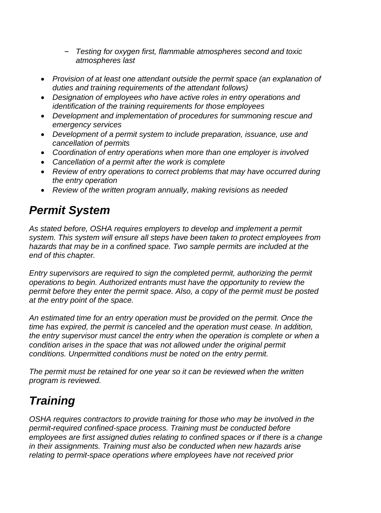- *Testing for oxygen first, flammable atmospheres second and toxic atmospheres last*
- *Provision of at least one attendant outside the permit space (an explanation of duties and training requirements of the attendant follows)*
- *Designation of employees who have active roles in entry operations and identification of the training requirements for those employees*
- *Development and implementation of procedures for summoning rescue and emergency services*
- *Development of a permit system to include preparation, issuance, use and cancellation of permits*
- *Coordination of entry operations when more than one employer is involved*
- *Cancellation of a permit after the work is complete*
- *Review of entry operations to correct problems that may have occurred during the entry operation*
- *Review of the written program annually, making revisions as needed*

# *Permit System*

*As stated before, OSHA requires employers to develop and implement a permit system. This system will ensure all steps have been taken to protect employees from hazards that may be in a confined space. Two sample permits are included at the end of this chapter.*

*Entry supervisors are required to sign the completed permit, authorizing the permit operations to begin. Authorized entrants must have the opportunity to review the permit before they enter the permit space. Also, a copy of the permit must be posted at the entry point of the space.*

*An estimated time for an entry operation must be provided on the permit. Once the time has expired, the permit is canceled and the operation must cease. In addition, the entry supervisor must cancel the entry when the operation is complete or when a condition arises in the space that was not allowed under the original permit conditions. Unpermitted conditions must be noted on the entry permit.*

*The permit must be retained for one year so it can be reviewed when the written program is reviewed.*

# *Training*

*OSHA requires contractors to provide training for those who may be involved in the permit-required confined-space process. Training must be conducted before employees are first assigned duties relating to confined spaces or if there is a change in their assignments. Training must also be conducted when new hazards arise relating to permit-space operations where employees have not received prior*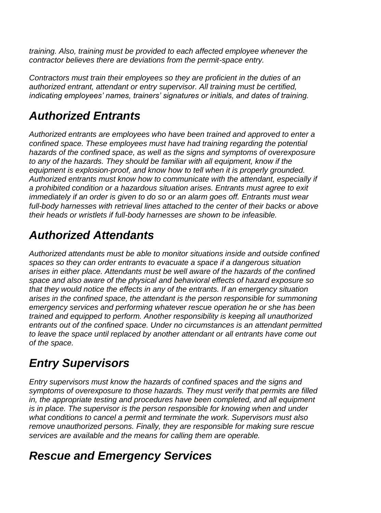*training. Also, training must be provided to each affected employee whenever the contractor believes there are deviations from the permit-space entry.*

*Contractors must train their employees so they are proficient in the duties of an authorized entrant, attendant or entry supervisor. All training must be certified, indicating employees' names, trainers' signatures or initials, and dates of training.*

# *Authorized Entrants*

*Authorized entrants are employees who have been trained and approved to enter a confined space. These employees must have had training regarding the potential hazards of the confined space, as well as the signs and symptoms of overexposure to any of the hazards. They should be familiar with all equipment, know if the equipment is explosion-proof, and know how to tell when it is properly grounded. Authorized entrants must know how to communicate with the attendant, especially if a prohibited condition or a hazardous situation arises. Entrants must agree to exit immediately if an order is given to do so or an alarm goes off. Entrants must wear full-body harnesses with retrieval lines attached to the center of their backs or above their heads or wristlets if full-body harnesses are shown to be infeasible.*

# *Authorized Attendants*

*Authorized attendants must be able to monitor situations inside and outside confined spaces so they can order entrants to evacuate a space if a dangerous situation arises in either place. Attendants must be well aware of the hazards of the confined space and also aware of the physical and behavioral effects of hazard exposure so that they would notice the effects in any of the entrants. If an emergency situation arises in the confined space, the attendant is the person responsible for summoning emergency services and performing whatever rescue operation he or she has been trained and equipped to perform. Another responsibility is keeping all unauthorized entrants out of the confined space. Under no circumstances is an attendant permitted to leave the space until replaced by another attendant or all entrants have come out of the space.*

# *Entry Supervisors*

*Entry supervisors must know the hazards of confined spaces and the signs and symptoms of overexposure to those hazards. They must verify that permits are filled in, the appropriate testing and procedures have been completed, and all equipment is in place. The supervisor is the person responsible for knowing when and under what conditions to cancel a permit and terminate the work. Supervisors must also remove unauthorized persons. Finally, they are responsible for making sure rescue services are available and the means for calling them are operable.* 

# *Rescue and Emergency Services*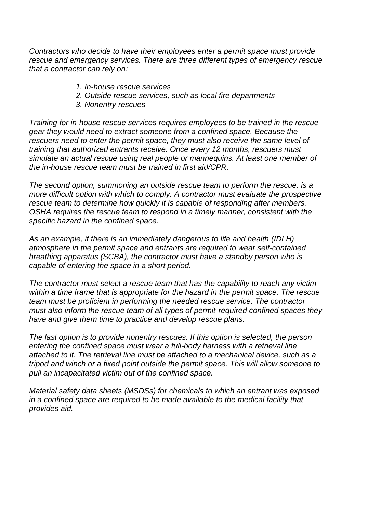*Contractors who decide to have their employees enter a permit space must provide rescue and emergency services. There are three different types of emergency rescue that a contractor can rely on:*

- *1. In-house rescue services*
- *2. Outside rescue services, such as local fire departments*
- *3. Nonentry rescues*

*Training for in-house rescue services requires employees to be trained in the rescue gear they would need to extract someone from a confined space. Because the rescuers need to enter the permit space, they must also receive the same level of training that authorized entrants receive. Once every 12 months, rescuers must simulate an actual rescue using real people or mannequins. At least one member of the in-house rescue team must be trained in first aid/CPR.*

*The second option, summoning an outside rescue team to perform the rescue, is a more difficult option with which to comply. A contractor must evaluate the prospective rescue team to determine how quickly it is capable of responding after members. OSHA requires the rescue team to respond in a timely manner, consistent with the specific hazard in the confined space.* 

*As an example, if there is an immediately dangerous to life and health (IDLH) atmosphere in the permit space and entrants are required to wear self-contained breathing apparatus (SCBA), the contractor must have a standby person who is capable of entering the space in a short period.*

*The contractor must select a rescue team that has the capability to reach any victim within a time frame that is appropriate for the hazard in the permit space. The rescue team must be proficient in performing the needed rescue service. The contractor must also inform the rescue team of all types of permit-required confined spaces they have and give them time to practice and develop rescue plans.*

*The last option is to provide nonentry rescues. If this option is selected, the person entering the confined space must wear a full-body harness with a retrieval line attached to it. The retrieval line must be attached to a mechanical device, such as a tripod and winch or a fixed point outside the permit space. This will allow someone to pull an incapacitated victim out of the confined space.*

*Material safety data sheets (MSDSs) for chemicals to which an entrant was exposed in a confined space are required to be made available to the medical facility that provides aid.*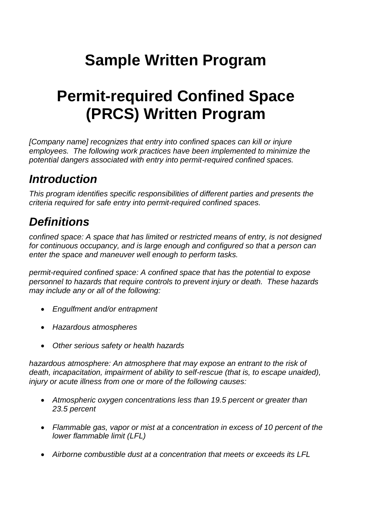# **Sample Written Program**

# **Permit-required Confined Space (PRCS) Written Program**

*[Company name] recognizes that entry into confined spaces can kill or injure employees. The following work practices have been implemented to minimize the potential dangers associated with entry into permit-required confined spaces.*

# *Introduction*

*This program identifies specific responsibilities of different parties and presents the criteria required for safe entry into permit-required confined spaces.* 

# *Definitions*

*confined space: A space that has limited or restricted means of entry, is not designed for continuous occupancy, and is large enough and configured so that a person can enter the space and maneuver well enough to perform tasks.*

*permit-required confined space: A confined space that has the potential to expose personnel to hazards that require controls to prevent injury or death. These hazards may include any or all of the following:* 

- *Engulfment and/or entrapment*
- *Hazardous atmospheres*
- *Other serious safety or health hazards*

*hazardous atmosphere: An atmosphere that may expose an entrant to the risk of death, incapacitation, impairment of ability to self-rescue (that is, to escape unaided), injury or acute illness from one or more of the following causes:*

- *Atmospheric oxygen concentrations less than 19.5 percent or greater than 23.5 percent*
- *Flammable gas, vapor or mist at a concentration in excess of 10 percent of the lower flammable limit (LFL)*
- *Airborne combustible dust at a concentration that meets or exceeds its LFL*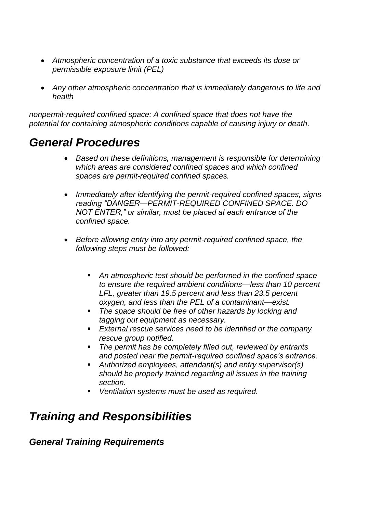- *Atmospheric concentration of a toxic substance that exceeds its dose or permissible exposure limit (PEL)*
- *Any other atmospheric concentration that is immediately dangerous to life and health*

*nonpermit-required confined space: A confined space that does not have the potential for containing atmospheric conditions capable of causing injury or death.*

# *General Procedures*

- *Based on these definitions, management is responsible for determining which areas are considered confined spaces and which confined spaces are permit-required confined spaces.*
- *Immediately after identifying the permit-required confined spaces, signs reading "DANGER—PERMIT-REQUIRED CONFINED SPACE. DO NOT ENTER," or similar, must be placed at each entrance of the confined space.*
- *Before allowing entry into any permit-required confined space, the following steps must be followed:*
	- *An atmospheric test should be performed in the confined space to ensure the required ambient conditions—less than 10 percent LFL, greater than 19.5 percent and less than 23.5 percent oxygen, and less than the PEL of a contaminant—exist.*
	- *The space should be free of other hazards by locking and tagging out equipment as necessary.*
	- *External rescue services need to be identified or the company rescue group notified.*
	- *The permit has be completely filled out, reviewed by entrants and posted near the permit-required confined space's entrance.*
	- *Authorized employees, attendant(s) and entry supervisor(s) should be properly trained regarding all issues in the training section.*
	- *Ventilation systems must be used as required.*

# *Training and Responsibilities*

# *General Training Requirements*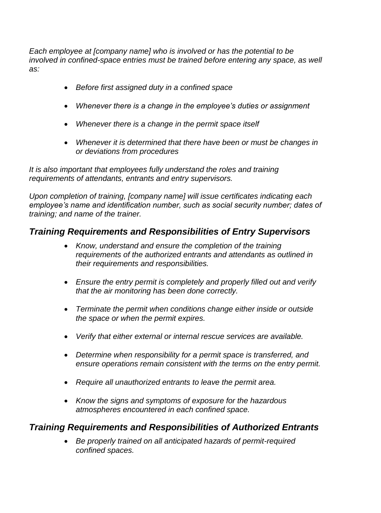*Each employee at [company name] who is involved or has the potential to be involved in confined-space entries must be trained before entering any space, as well as:*

- *Before first assigned duty in a confined space*
- *Whenever there is a change in the employee's duties or assignment*
- *Whenever there is a change in the permit space itself*
- *Whenever it is determined that there have been or must be changes in or deviations from procedures*

*It is also important that employees fully understand the roles and training requirements of attendants, entrants and entry supervisors.* 

*Upon completion of training, [company name] will issue certificates indicating each employee's name and identification number, such as social security number; dates of training; and name of the trainer.*

# *Training Requirements and Responsibilities of Entry Supervisors*

- *Know, understand and ensure the completion of the training requirements of the authorized entrants and attendants as outlined in their requirements and responsibilities.*
- *Ensure the entry permit is completely and properly filled out and verify that the air monitoring has been done correctly.*
- *Terminate the permit when conditions change either inside or outside the space or when the permit expires.*
- *Verify that either external or internal rescue services are available.*
- *Determine when responsibility for a permit space is transferred, and ensure operations remain consistent with the terms on the entry permit.*
- *Require all unauthorized entrants to leave the permit area.*
- *Know the signs and symptoms of exposure for the hazardous atmospheres encountered in each confined space.*

### *Training Requirements and Responsibilities of Authorized Entrants*

 *Be properly trained on all anticipated hazards of permit-required confined spaces.*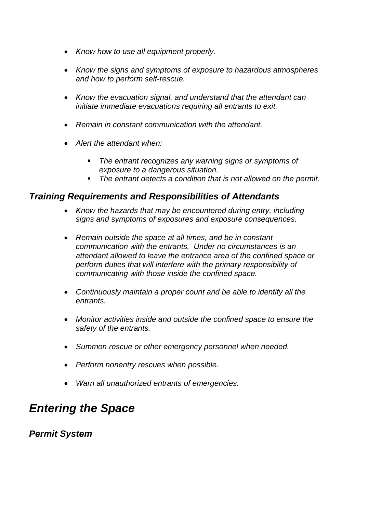- *Know how to use all equipment properly.*
- *Know the signs and symptoms of exposure to hazardous atmospheres and how to perform self-rescue.*
- *Know the evacuation signal, and understand that the attendant can initiate immediate evacuations requiring all entrants to exit.*
- *Remain in constant communication with the attendant.*
- *Alert the attendant when:*
	- *The entrant recognizes any warning signs or symptoms of exposure to a dangerous situation.*
	- *The entrant detects a condition that is not allowed on the permit.*

### *Training Requirements and Responsibilities of Attendants*

- *Know the hazards that may be encountered during entry, including signs and symptoms of exposures and exposure consequences.*
- *Remain outside the space at all times, and be in constant communication with the entrants. Under no circumstances is an attendant allowed to leave the entrance area of the confined space or perform duties that will interfere with the primary responsibility of communicating with those inside the confined space.*
- *Continuously maintain a proper count and be able to identify all the entrants.*
- *Monitor activities inside and outside the confined space to ensure the safety of the entrants.*
- *Summon rescue or other emergency personnel when needed.*
- *Perform nonentry rescues when possible.*
- *Warn all unauthorized entrants of emergencies.*

# *Entering the Space*

*Permit System*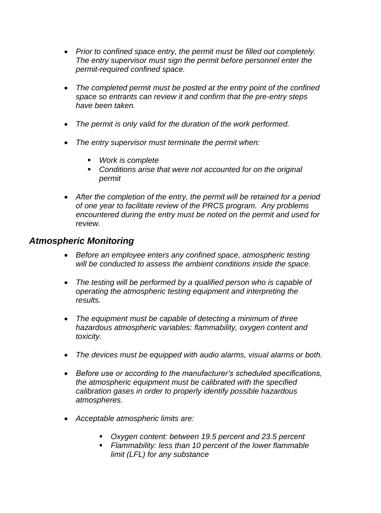- *Prior to confined space entry, the permit must be filled out completely. The entry supervisor must sign the permit before personnel enter the permit-required confined space.*
- *The completed permit must be posted at the entry point of the confined space so entrants can review it and confirm that the pre-entry steps have been taken.*
- *The permit is only valid for the duration of the work performed.*
- *The entry supervisor must terminate the permit when:*
	- *Work is complete*
	- *Conditions arise that were not accounted for on the original permit*
- *After the completion of the entry, the permit will be retained for a period of one year to facilitate review of the PRCS program. Any problems encountered during the entry must be noted on the permit and used for review.*

### *Atmospheric Monitoring*

- *Before an employee enters any confined space, atmospheric testing will be conducted to assess the ambient conditions inside the space.*
- *The testing will be performed by a qualified person who is capable of operating the atmospheric testing equipment and interpreting the results.*
- *The equipment must be capable of detecting a minimum of three hazardous atmospheric variables: flammability, oxygen content and toxicity.*
- *The devices must be equipped with audio alarms, visual alarms or both.*
- *Before use or according to the manufacturer's scheduled specifications, the atmospheric equipment must be calibrated with the specified calibration gases in order to properly identify possible hazardous atmospheres.*
- *Acceptable atmospheric limits are:*
	- *Oxygen content: between 19.5 percent and 23.5 percent*
	- *Flammability: less than 10 percent of the lower flammable limit (LFL) for any substance*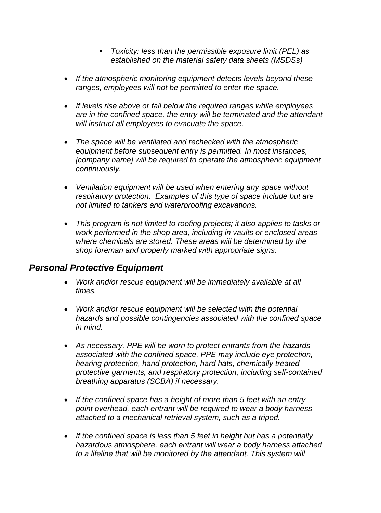- *Toxicity: less than the permissible exposure limit (PEL) as established on the material safety data sheets (MSDSs)*
- *If the atmospheric monitoring equipment detects levels beyond these ranges, employees will not be permitted to enter the space.*
- *If levels rise above or fall below the required ranges while employees are in the confined space, the entry will be terminated and the attendant will instruct all employees to evacuate the space.*
- *The space will be ventilated and rechecked with the atmospheric equipment before subsequent entry is permitted. In most instances, [company name] will be required to operate the atmospheric equipment continuously.*
- *Ventilation equipment will be used when entering any space without respiratory protection. Examples of this type of space include but are not limited to tankers and waterproofing excavations.*
- *This program is not limited to roofing projects; it also applies to tasks or work performed in the shop area, including in vaults or enclosed areas where chemicals are stored. These areas will be determined by the shop foreman and properly marked with appropriate signs.*

# *Personal Protective Equipment*

- *Work and/or rescue equipment will be immediately available at all times.*
- *Work and/or rescue equipment will be selected with the potential hazards and possible contingencies associated with the confined space in mind.*
- *As necessary, PPE will be worn to protect entrants from the hazards associated with the confined space. PPE may include eye protection, hearing protection, hand protection, hard hats, chemically treated protective garments, and respiratory protection, including self-contained breathing apparatus (SCBA) if necessary.*
- *If the confined space has a height of more than 5 feet with an entry point overhead, each entrant will be required to wear a body harness attached to a mechanical retrieval system, such as a tripod.*
- *If the confined space is less than 5 feet in height but has a potentially hazardous atmosphere, each entrant will wear a body harness attached to a lifeline that will be monitored by the attendant. This system will*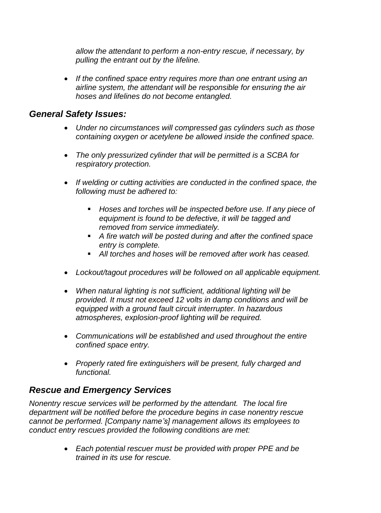*allow the attendant to perform a non-entry rescue, if necessary, by pulling the entrant out by the lifeline.*

 *If the confined space entry requires more than one entrant using an airline system, the attendant will be responsible for ensuring the air hoses and lifelines do not become entangled.*

### *General Safety Issues:*

- *Under no circumstances will compressed gas cylinders such as those containing oxygen or acetylene be allowed inside the confined space.*
- *The only pressurized cylinder that will be permitted is a SCBA for respiratory protection.*
- *If welding or cutting activities are conducted in the confined space, the following must be adhered to:*
	- *Hoses and torches will be inspected before use. If any piece of equipment is found to be defective, it will be tagged and removed from service immediately.*
	- *A fire watch will be posted during and after the confined space entry is complete.*
	- *All torches and hoses will be removed after work has ceased.*
- *Lockout/tagout procedures will be followed on all applicable equipment.*
- *When natural lighting is not sufficient, additional lighting will be provided. It must not exceed 12 volts in damp conditions and will be equipped with a ground fault circuit interrupter. In hazardous atmospheres, explosion-proof lighting will be required.*
- *Communications will be established and used throughout the entire confined space entry.*
- *Properly rated fire extinguishers will be present, fully charged and functional.*

# *Rescue and Emergency Services*

*Nonentry rescue services will be performed by the attendant. The local fire department will be notified before the procedure begins in case nonentry rescue cannot be performed. [Company name's] management allows its employees to conduct entry rescues provided the following conditions are met:*

> *Each potential rescuer must be provided with proper PPE and be trained in its use for rescue.*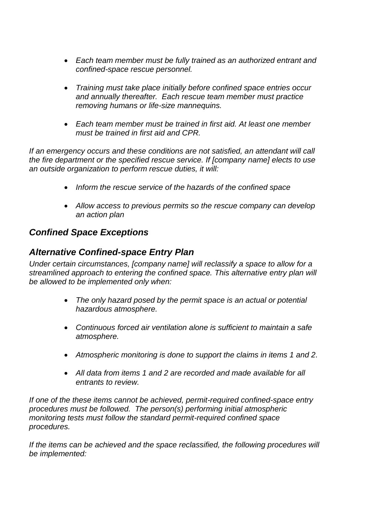- *Each team member must be fully trained as an authorized entrant and confined-space rescue personnel.*
- *Training must take place initially before confined space entries occur and annually thereafter. Each rescue team member must practice removing humans or life-size mannequins.*
- *Each team member must be trained in first aid. At least one member must be trained in first aid and CPR.*

*If an emergency occurs and these conditions are not satisfied, an attendant will call the fire department or the specified rescue service. If [company name] elects to use an outside organization to perform rescue duties, it will:*

- *Inform the rescue service of the hazards of the confined space*
- *Allow access to previous permits so the rescue company can develop an action plan*

# *Confined Space Exceptions*

# *Alternative Confined-space Entry Plan*

*Under certain circumstances, [company name] will reclassify a space to allow for a streamlined approach to entering the confined space. This alternative entry plan will be allowed to be implemented only when:*

- *The only hazard posed by the permit space is an actual or potential hazardous atmosphere.*
- *Continuous forced air ventilation alone is sufficient to maintain a safe atmosphere.*
- *Atmospheric monitoring is done to support the claims in items 1 and 2.*
- *All data from items 1 and 2 are recorded and made available for all entrants to review.*

*If one of the these items cannot be achieved, permit-required confined-space entry procedures must be followed. The person(s) performing initial atmospheric monitoring tests must follow the standard permit-required confined space procedures.*

*If the items can be achieved and the space reclassified, the following procedures will be implemented:*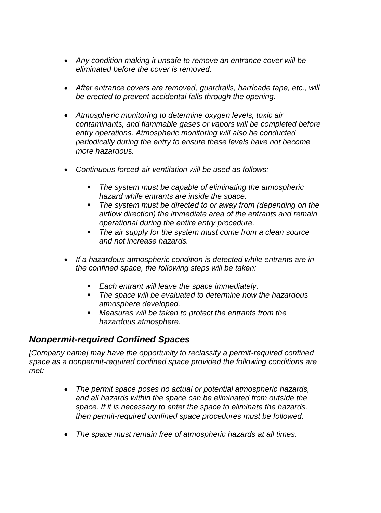- *Any condition making it unsafe to remove an entrance cover will be eliminated before the cover is removed.*
- *After entrance covers are removed, guardrails, barricade tape, etc., will be erected to prevent accidental falls through the opening.*
- *Atmospheric monitoring to determine oxygen levels, toxic air contaminants, and flammable gases or vapors will be completed before entry operations. Atmospheric monitoring will also be conducted periodically during the entry to ensure these levels have not become more hazardous.*
- *Continuous forced-air ventilation will be used as follows:*
	- *The system must be capable of eliminating the atmospheric hazard while entrants are inside the space.*
	- *The system must be directed to or away from (depending on the airflow direction) the immediate area of the entrants and remain operational during the entire entry procedure.*
	- *The air supply for the system must come from a clean source and not increase hazards.*
- *If a hazardous atmospheric condition is detected while entrants are in the confined space, the following steps will be taken:*
	- *Each entrant will leave the space immediately.*
	- *The space will be evaluated to determine how the hazardous atmosphere developed.*
	- *Measures will be taken to protect the entrants from the hazardous atmosphere.*

# *Nonpermit-required Confined Spaces*

*[Company name] may have the opportunity to reclassify a permit-required confined space as a nonpermit-required confined space provided the following conditions are met:*

- *The permit space poses no actual or potential atmospheric hazards, and all hazards within the space can be eliminated from outside the space. If it is necessary to enter the space to eliminate the hazards, then permit-required confined space procedures must be followed.*
- *The space must remain free of atmospheric hazards at all times.*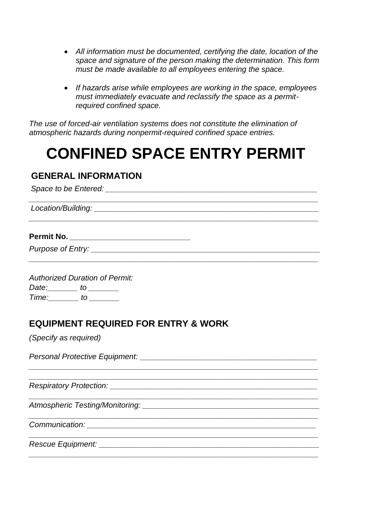- *All information must be documented, certifying the date, location of the space and signature of the person making the determination. This form must be made available to all employees entering the space.*
- *If hazards arise while employees are working in the space, employees must immediately evacuate and reclassify the space as a permitrequired confined space.*

*The use of forced-air ventilation systems does not constitute the elimination of atmospheric hazards during nonpermit-required confined space entries.*

# **CONFINED SPACE ENTRY PERMIT**

*\_\_\_\_\_\_\_\_\_\_\_\_\_\_\_\_\_\_\_\_\_\_\_\_\_\_\_\_\_\_\_\_\_\_\_\_\_\_\_\_\_\_\_\_\_\_\_\_\_\_\_\_\_\_\_\_\_\_\_\_\_\_\_\_\_\_\_*

*\_\_\_\_\_\_\_\_\_\_\_\_\_\_\_\_\_\_\_\_\_\_\_\_\_\_\_\_\_\_\_\_\_\_\_\_\_\_\_\_\_\_\_\_\_\_\_\_\_\_\_\_\_\_\_\_\_\_\_\_\_\_\_\_\_\_\_*

*\_\_\_\_\_\_\_\_\_\_\_\_\_\_\_\_\_\_\_\_\_\_\_\_\_\_\_\_\_\_\_\_\_\_\_\_\_\_\_\_\_\_\_\_\_\_\_\_\_\_\_\_\_\_\_\_\_\_\_\_\_\_\_\_\_\_\_ \_\_\_\_\_\_\_\_\_\_\_\_\_\_\_\_\_\_\_\_\_\_\_\_\_\_\_\_\_\_\_\_\_\_\_\_\_\_\_\_\_\_\_\_\_\_\_\_\_\_\_\_\_\_\_\_\_\_\_\_\_\_\_\_\_\_\_*

*\_\_\_\_\_\_\_\_\_\_\_\_\_\_\_\_\_\_\_\_\_\_\_\_\_\_\_\_\_\_\_\_\_\_\_\_\_\_\_\_\_\_\_\_\_\_\_\_\_\_\_\_\_\_\_\_\_\_\_\_\_\_\_\_\_\_\_*

*\_\_\_\_\_\_\_\_\_\_\_\_\_\_\_\_\_\_\_\_\_\_\_\_\_\_\_\_\_\_\_\_\_\_\_\_\_\_\_\_\_\_\_\_\_\_\_\_\_\_\_\_\_\_\_\_\_\_\_\_\_\_\_\_\_\_\_*

*\_\_\_\_\_\_\_\_\_\_\_\_\_\_\_\_\_\_\_\_\_\_\_\_\_\_\_\_\_\_\_\_\_\_\_\_\_\_\_\_\_\_\_\_\_\_\_\_\_\_\_\_\_\_\_\_\_\_\_\_\_\_\_\_\_\_\_*

### **GENERAL INFORMATION**

*Space to be Entered: \_\_\_\_\_\_\_\_\_\_\_\_\_\_\_\_\_\_\_\_\_\_\_\_\_\_\_\_\_\_\_\_\_\_\_\_\_\_\_\_\_\_\_\_\_\_\_\_\_*

*Location/Building: \_\_\_\_\_\_\_\_\_\_\_\_\_\_\_\_\_\_\_\_\_\_\_\_\_\_\_\_\_\_\_\_\_\_\_\_\_\_\_\_\_\_\_\_\_\_\_\_\_\_\_\_*

### **Permit No.** *\_\_\_\_\_\_\_\_\_\_\_\_\_\_\_\_\_\_\_\_\_\_\_\_\_\_\_\_*

*Purpose of Entry: \_\_\_\_\_\_\_\_\_\_\_\_\_\_\_\_\_\_\_\_\_\_\_\_\_\_\_\_\_\_\_\_\_\_\_\_\_\_\_\_\_\_\_\_\_\_\_\_\_\_\_\_\_*

*Authorized Duration of Permit: Date:\_\_\_\_\_\_\_ to \_\_\_\_\_\_\_ Time:\_\_\_\_\_\_\_ to \_\_\_\_\_\_\_*

# **EQUIPMENT REQUIRED FOR ENTRY & WORK**

*(Specify as required)*

*Personal Protective Equipment: \_\_\_\_\_\_\_\_\_\_\_\_\_\_\_\_\_\_\_\_\_\_\_\_\_\_\_\_\_\_\_\_\_\_\_\_\_\_\_\_\_*

*Respiratory Protection: \_\_\_\_\_\_\_\_\_\_\_\_\_\_\_\_\_\_\_\_\_\_\_\_\_\_\_\_\_\_\_\_\_\_\_\_\_\_\_\_\_\_\_\_\_\_\_\_*

*Atmospheric Testing/Monitoring: \_\_\_\_\_\_\_\_\_\_\_\_\_\_\_\_\_\_\_\_\_\_\_\_\_\_\_\_\_\_\_\_\_\_\_\_\_\_\_\_\_*

*Communication: \_\_\_\_\_\_\_\_\_\_\_\_\_\_\_\_\_\_\_\_\_\_\_\_\_\_\_\_\_\_\_\_\_\_\_\_\_\_\_\_\_\_\_\_\_\_\_\_\_\_\_\_\_*

*Rescue Equipment: \_\_\_\_\_\_\_\_\_\_\_\_\_\_\_\_\_\_\_\_\_\_\_\_\_\_\_\_\_\_\_\_\_\_\_\_\_\_\_\_\_\_\_\_\_\_\_\_\_\_\_*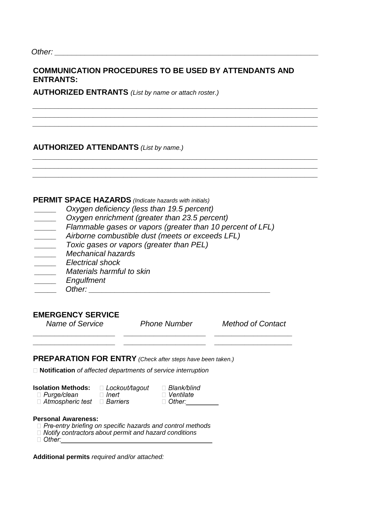### **COMMUNICATION PROCEDURES TO BE USED BY ATTENDANTS AND ENTRANTS:**

*\_\_\_\_\_\_\_\_\_\_\_\_\_\_\_\_\_\_\_\_\_\_\_\_\_\_\_\_\_\_\_\_\_\_\_\_\_\_\_\_\_\_\_\_\_\_\_\_\_\_\_\_\_\_\_\_\_\_\_\_\_\_\_\_\_\_ \_\_\_\_\_\_\_\_\_\_\_\_\_\_\_\_\_\_\_\_\_\_\_\_\_\_\_\_\_\_\_\_\_\_\_\_\_\_\_\_\_\_\_\_\_\_\_\_\_\_\_\_\_\_\_\_\_\_\_\_\_\_\_\_\_\_ \_\_\_\_\_\_\_\_\_\_\_\_\_\_\_\_\_\_\_\_\_\_\_\_\_\_\_\_\_\_\_\_\_\_\_\_\_\_\_\_\_\_\_\_\_\_\_\_\_\_\_\_\_\_\_\_\_\_\_\_\_\_\_\_\_\_*

*\_\_\_\_\_\_\_\_\_\_\_\_\_\_\_\_\_\_\_\_\_\_\_\_\_\_\_\_\_\_\_\_\_\_\_\_\_\_\_\_\_\_\_\_\_\_\_\_\_\_\_\_\_\_\_\_\_\_\_\_\_\_\_\_\_\_ \_\_\_\_\_\_\_\_\_\_\_\_\_\_\_\_\_\_\_\_\_\_\_\_\_\_\_\_\_\_\_\_\_\_\_\_\_\_\_\_\_\_\_\_\_\_\_\_\_\_\_\_\_\_\_\_\_\_\_\_\_\_\_\_\_\_ \_\_\_\_\_\_\_\_\_\_\_\_\_\_\_\_\_\_\_\_\_\_\_\_\_\_\_\_\_\_\_\_\_\_\_\_\_\_\_\_\_\_\_\_\_\_\_\_\_\_\_\_\_\_\_\_\_\_\_\_\_\_\_\_\_\_*

**AUTHORIZED ENTRANTS** *(List by name or attach roster.)*

### **AUTHORIZED ATTENDANTS** *(List by name.)*

### **PERMIT SPACE HAZARDS** *(Indicate hazards with initials)*

| Oxygen deficiency (less than 19.5 percent)                 |
|------------------------------------------------------------|
| Oxygen enrichment (greater than 23.5 percent)              |
| Flammable gases or vapors (greater than 10 percent of LFL) |
| Airborne combustible dust (meets or exceeds LFL)           |
| Toxic gases or vapors (greater than PEL)                   |
| <b>Mechanical hazards</b>                                  |
| Electrical shock                                           |
| Materials harmful to skin                                  |
| Engulfment                                                 |
| Other:                                                     |

### **EMERGENCY SERVICE**

 *\_\_\_\_\_\_\_\_\_\_\_\_\_\_\_\_\_\_\_ \_\_\_\_\_\_\_\_\_\_\_\_\_\_\_\_\_\_\_ \_\_\_\_\_\_\_\_\_\_\_\_\_\_\_\_\_\_ \_\_\_\_\_\_\_\_\_\_\_\_\_\_\_\_\_\_\_ \_\_\_\_\_\_\_\_\_\_\_\_\_\_\_\_\_\_\_ \_\_\_\_\_\_\_\_\_\_\_\_\_\_\_\_\_\_*

 *Name of Service Phone Number Method of Contact*

### **PREPARATION FOR ENTRY** *(Check after steps have been taken.)*

**Notification** *of affected departments of service interruption*

| <b>Isolation Methods:</b>  | $\Box$ Lockout/tagout | $\Box$ Blank/blind   |
|----------------------------|-----------------------|----------------------|
| $\Box$ Purge/clean         | $\sqcap$ lnert        | $\Box$ Ventilate     |
| $\Box$ Atmospheric test    | □ Barriers            | $\Box$ Other: $\Box$ |
| <b>Personal Awareness:</b> |                       |                      |

 $\Box$  Pre-entry briefing on specific hazards and control methods

*Abouth The Didde Didde ontractors about permit and hazard conditions* 

**Additional permits** *required and/or attached:*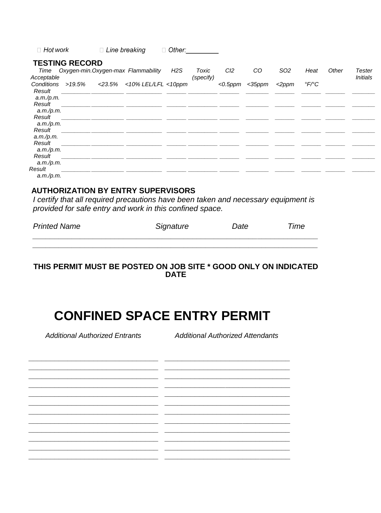| $\Box$ Hot work |                       | $\Box$ Line breaking |                                    | $\Box$ Other: |           |                 |           |                 |                          |       |                 |
|-----------------|-----------------------|----------------------|------------------------------------|---------------|-----------|-----------------|-----------|-----------------|--------------------------|-------|-----------------|
|                 | <b>TESTING RECORD</b> |                      |                                    |               |           |                 |           |                 |                          |       |                 |
| Time            |                       |                      | Oxygen-min.Oxygen-max Flammability | H2S           | Toxic     | Cl <sub>2</sub> | CO        | SO <sub>2</sub> | Heat                     | Other | Tester          |
| Acceptable      |                       |                      |                                    |               | (specify) |                 |           |                 |                          |       | <b>Initials</b> |
| Conditions      | >19.5%                |                      | <23.5% <10% LEL/LFL <10ppm         |               |           | $<$ 0.5 $ppm$   | $<$ 35ppm | $<$ 2 $ppm$     | $\degree$ F/ $\degree$ C |       |                 |
| Result          |                       |                      |                                    |               |           |                 |           |                 |                          |       |                 |
| a.m./p.m.       |                       |                      |                                    |               |           |                 |           |                 |                          |       |                 |
| Result          |                       |                      |                                    |               |           |                 |           |                 |                          |       |                 |
| a.m./p.m.       |                       |                      |                                    |               |           |                 |           |                 |                          |       |                 |
| Result          |                       |                      |                                    |               |           |                 |           |                 |                          |       |                 |
| a.m./p.m.       |                       |                      |                                    |               |           |                 |           |                 |                          |       |                 |
| Result          |                       |                      |                                    |               |           |                 |           |                 |                          |       |                 |
| a.m./p.m.       |                       |                      |                                    |               |           |                 |           |                 |                          |       |                 |
| Result          |                       |                      |                                    |               |           |                 |           |                 |                          |       |                 |
| a.m./p.m.       |                       |                      |                                    |               |           |                 |           |                 |                          |       |                 |
| Result          |                       |                      |                                    |               |           |                 |           |                 |                          |       |                 |
| a.m./p.m.       |                       |                      |                                    |               |           |                 |           |                 |                          |       |                 |
| Result          |                       |                      |                                    |               |           |                 |           |                 |                          |       |                 |
| a.m./p.m.       |                       |                      |                                    |               |           |                 |           |                 |                          |       |                 |

### **AUTHORIZATION BY ENTRY SUPERVISORS**

I certify that all required precautions have been taken and necessary equipment is provided for safe entry and work in this confined space.

| <b>Printed Name</b> | Signature | Date | Time |
|---------------------|-----------|------|------|
|                     |           |      |      |

### THIS PERMIT MUST BE POSTED ON JOB SITE \* GOOD ONLY ON INDICATED **DATE**

# **CONFINED SPACE ENTRY PERMIT**

 $\frac{1}{2} \left( \frac{1}{2} \right) \left( \frac{1}{2} \right) \left( \frac{1}{2} \right)$ 

 $\overline{\phantom{a}}$ 

**Additional Authorized Entrants** 

**Additional Authorized Attendants**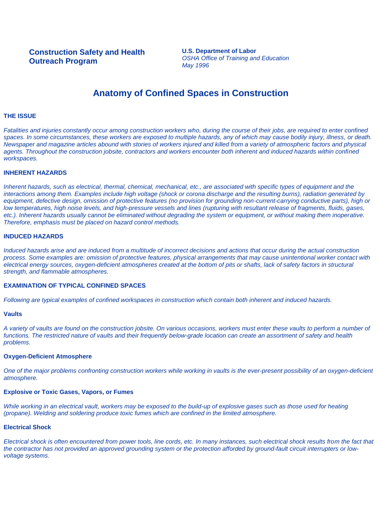**U.S. Department of Labor** *OSHA Office of Training and Education May 1996*

### **Anatomy of Confined Spaces in Construction**

#### **THE ISSUE**

*Fatalities and injuries constantly occur among construction workers who, during the course of their jobs, are required to enter confined spaces. In some circumstances, these workers are exposed to multiple hazards, any of which may cause bodily injury, illness, or death. Newspaper and magazine articles abound with stories of workers injured and killed from a variety of atmospheric factors and physical*  agents. Throughout the construction jobsite, contractors and workers encounter both inherent and induced hazards within confined *workspaces.*

#### **INHERENT HAZARDS**

*Inherent hazards, such as electrical, thermal, chemical, mechanical, etc., are associated with specific types of equipment and the interactions among them. Examples include high voltage (shock or corona discharge and the resulting burns), radiation generated by*  equipment, defective design, omission of protective features (no provision for grounding non-current-carrying conductive parts), high or *low temperatures, high noise levels, and high-pressure vessels and lines (rupturing with resultant release of fragments, fluids, gases, etc.). Inherent hazards usually cannot be eliminated without degrading the system or equipment, or without making them inoperative. Therefore, emphasis must be placed on hazard control methods.*

### **INDUCED HAZARDS**

*Induced hazards arise and are induced from a multitude of incorrect decisions and actions that occur during the actual construction process. Some examples are: omission of protective features, physical arrangements that may cause unintentional worker contact with electrical energy sources, oxygen-deficient atmospheres created at the bottom of pits or shafts, lack of safety factors in structural strength, and flammable atmospheres.*

#### **EXAMINATION OF TYPICAL CONFINED SPACES**

*Following are typical examples of confined workspaces in construction which contain both inherent and induced hazards.*

#### **Vaults**

*A variety of vaults are found on the construction jobsite. On various occasions, workers must enter these vaults to perform a number of functions. The restricted nature of vaults and their frequently below-grade location can create an assortment of safety and health problems.*

#### **Oxygen-Deficient Atmosphere**

*One of the major problems confronting construction workers while working in vaults is the ever-present possibility of an oxygen-deficient atmosphere.*

#### **Explosive or Toxic Gases, Vapors, or Fumes**

*While working in an electrical vault, workers may be exposed to the build-up of explosive gases such as those used for heating (propane). Welding and soldering produce toxic fumes which are confined in the limited atmosphere.*

### **Electrical Shock**

*Electrical shock is often encountered from power tools, line cords, etc. In many instances, such electrical shock results from the fact that the contractor has not provided an approved grounding system or the protection afforded by ground-fault circuit interrupters or lowvoltage systems.*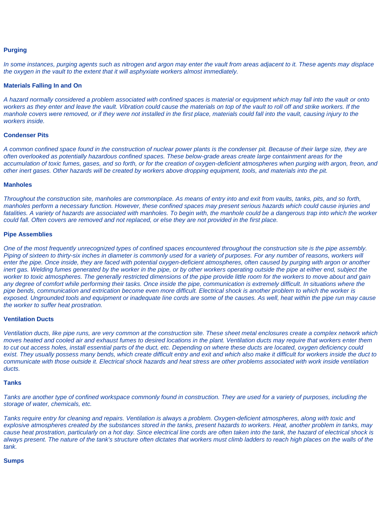### **Purging**

*In some instances, purging agents such as nitrogen and argon may enter the vault from areas adjacent to it. These agents may displace the oxygen in the vault to the extent that it will asphyxiate workers almost immediately.*

### **Materials Falling In and On**

*A hazard normally considered a problem associated with confined spaces is material or equipment which may fall into the vault or onto*  workers as they enter and leave the vault. Vibration could cause the materials on top of the vault to roll off and strike workers. If the *manhole covers were removed, or if they were not installed in the first place, materials could fall into the vault, causing injury to the workers inside.*

#### **Condenser Pits**

*A common confined space found in the construction of nuclear power plants is the condenser pit. Because of their large size, they are often overlooked as potentially hazardous confined spaces. These below-grade areas create large containment areas for the accumulation of toxic fumes, gases, and so forth, or for the creation of oxygen-deficient atmospheres when purging with argon, freon, and other inert gases. Other hazards will be created by workers above dropping equipment, tools, and materials into the pit.*

#### **Manholes**

*Throughout the construction site, manholes are commonplace. As means of entry into and exit from vaults, tanks, pits, and so forth, manholes perform a necessary function. However, these confined spaces may present serious hazards which could cause injuries and*  fatalities. A variety of hazards are associated with manholes. To begin with, the manhole could be a dangerous trap into which the worker *could fall. Often covers are removed and not replaced, or else they are not provided in the first place.*

#### **Pipe Assemblies**

*One of the most frequently unrecognized types of confined spaces encountered throughout the construction site is the pipe assembly. Piping of sixteen to thirty-six inches in diameter is commonly used for a variety of purposes. For any number of reasons, workers will*  enter the pipe. Once inside, they are faced with potential oxygen-deficient atmospheres, often caused by purging with argon or another inert gas. Welding fumes generated by the worker in the pipe, or by other workers operating outside the pipe at either end, subject the *worker to toxic atmospheres. The generally restricted dimensions of the pipe provide little room for the workers to move about and gain*  any degree of comfort while performing their tasks. Once inside the pipe, communication is extremely difficult. In situations where the *pipe bends, communication and extrication become even more difficult. Electrical shock is another problem to which the worker is exposed. Ungrounded tools and equipment or inadequate line cords are some of the causes. As well, heat within the pipe run may cause the worker to suffer heat prostration.*

#### **Ventilation Ducts**

*Ventilation ducts, like pipe runs, are very common at the construction site. These sheet metal enclosures create a complex network which moves heated and cooled air and exhaust fumes to desired locations in the plant. Ventilation ducts may require that workers enter them to cut out access holes, install essential parts of the duct, etc. Depending on where these ducts are located, oxygen deficiency could exist. They usually possess many bends, which create difficult entry and exit and which also make it difficult for workers inside the duct to communicate with those outside it. Electrical shock hazards and heat stress are other problems associated with work inside ventilation ducts.*

#### **Tanks**

*Tanks are another type of confined workspace commonly found in construction. They are used for a variety of purposes, including the storage of water, chemicals, etc.*

*Tanks require entry for cleaning and repairs. Ventilation is always a problem. Oxygen-deficient atmospheres, along with toxic and explosive atmospheres created by the substances stored in the tanks, present hazards to workers. Heat, another problem in tanks, may cause heat prostration, particularly on a hot day. Since electrical line cords are often taken into the tank, the hazard of electrical shock is always present. The nature of the tank's structure often dictates that workers must climb ladders to reach high places on the walls of the tank.*

#### **Sumps**